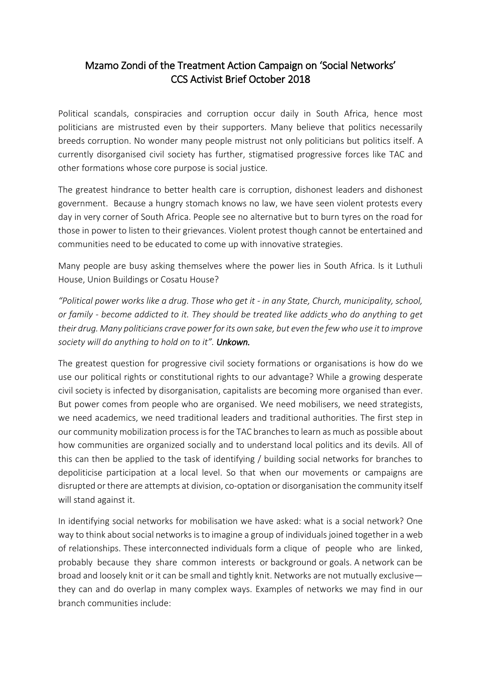## Mzamo Zondi of the Treatment Action Campaign on 'Social Networks' CCS Activist Brief October 2018

Political scandals, conspiracies and corruption occur daily in South Africa, hence most politicians are mistrusted even by their supporters. Many believe that politics necessarily breeds corruption. No wonder many people mistrust not only politicians but politics itself. A currently disorganised civil society has further, stigmatised progressive forces like TAC and other formations whose core purpose is social justice.

The greatest hindrance to better health care is corruption, dishonest leaders and dishonest government. Because a hungry stomach knows no law, we have seen violent protests every day in very corner of South Africa. People see no alternative but to burn tyres on the road for those in power to listen to their grievances. Violent protest though cannot be entertained and communities need to be educated to come up with innovative strategies.

Many people are busy asking themselves where the power lies in South Africa. Is it Luthuli House, Union Buildings or Cosatu House?

*"Political power works like a drug. Those who get it - in any State, Church, municipality, school, or family - become addicted to it. They should be treated like addicts who do anything to get their drug. Many politicians crave power for its own sake, but even the few who use it to improve society will do anything to hold on to it". Unkown.* 

The greatest question for progressive civil society formations or organisations is how do we use our political rights or constitutional rights to our advantage? While a growing desperate civil society is infected by disorganisation, capitalists are becoming more organised than ever. But power comes from people who are organised. We need mobilisers, we need strategists, we need academics, we need traditional leaders and traditional authorities. The first step in our community mobilization process isfor the TAC branches to learn as much as possible about how communities are organized socially and to understand local politics and its devils. All of this can then be applied to the task of identifying / building social networks for branches to depoliticise participation at a local level. So that when our movements or campaigns are disrupted or there are attempts at division, co-optation or disorganisation the community itself will stand against it.

In identifying social networks for mobilisation we have asked: what is a social network? One way to think about social networks is to imagine a group of individuals joined together in a web of relationships. These interconnected individuals form a clique of people who are linked, probably because they share common interests or background or goals. A network can be broad and loosely knit or it can be small and tightly knit. Networks are not mutually exclusive they can and do overlap in many complex ways. Examples of networks we may find in our branch communities include: